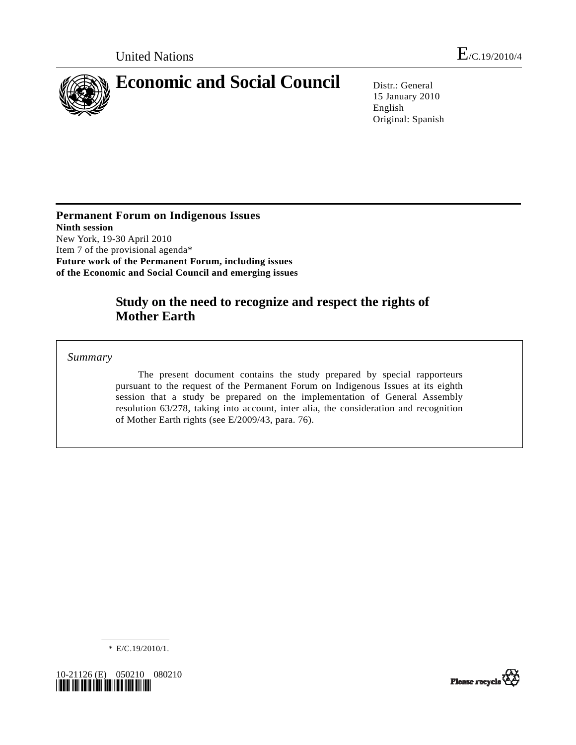

15 January 2010 English Original: Spanish

**Permanent Forum on Indigenous Issues Ninth session**  New York, 19-30 April 2010 Item 7 of the provisional agenda\* **Future work of the Permanent Forum, including issues of the Economic and Social Council and emerging issues** 

# **Study on the need to recognize and respect the rights of Mother Earth**

 *Summary* 

 The present document contains the study prepared by special rapporteurs pursuant to the request of the Permanent Forum on Indigenous Issues at its eighth session that a study be prepared on the implementation of General Assembly resolution 63/278, taking into account, inter alia, the consideration and recognition of Mother Earth rights (see E/2009/43, para. 76).

\* E/C.19/2010/1.



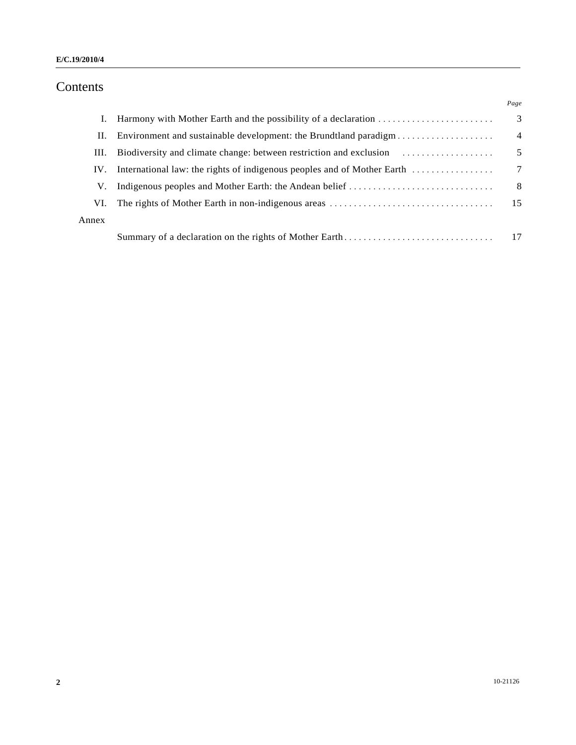# Contents

|       |                                                                    | Page            |
|-------|--------------------------------------------------------------------|-----------------|
| L.    | Harmony with Mother Earth and the possibility of a declaration     | 3               |
| П.    | Environment and sustainable development: the Brundtland paradigm   | $\overline{4}$  |
| III.  | Biodiversity and climate change: between restriction and exclusion | 5               |
| IV.   |                                                                    | $7\phantom{.0}$ |
| V.    |                                                                    | -8              |
| VI.   |                                                                    | -15             |
| Annex |                                                                    |                 |
|       |                                                                    |                 |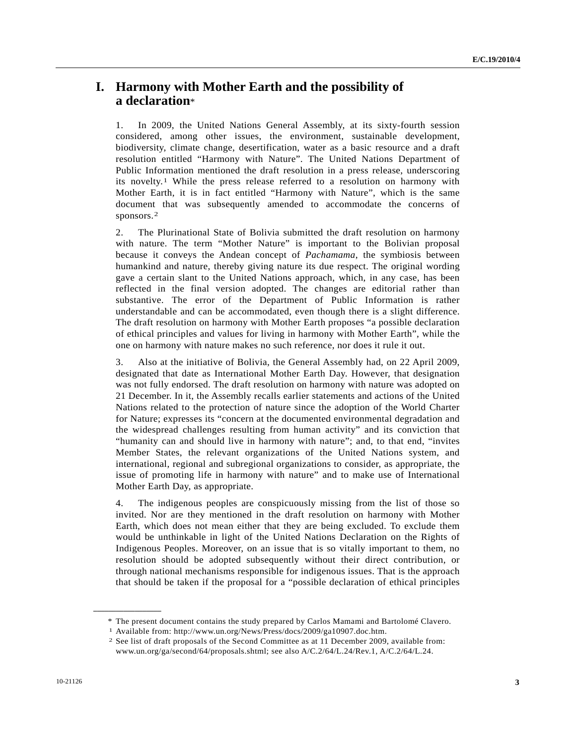## **I. Harmony with Mother Earth and the possibility of a declaration**\*

1. In 2009, the United Nations General Assembly, at its sixty-fourth session considered, among other issues, the environment, sustainable development, biodiversity, climate change, desertification, water as a basic resource and a draft resolution entitled "Harmony with Nature". The United Nations Department of Public Information mentioned the draft resolution in a press release, underscoring its novelty.[1](#page-2-0) While the press release referred to a resolution on harmony with Mother Earth, it is in fact entitled "Harmony with Nature", which is the same document that was subsequently amended to accommodate the concerns of sponsors.[2](#page-2-1)

2. The Plurinational State of Bolivia submitted the draft resolution on harmony with nature. The term "Mother Nature" is important to the Bolivian proposal because it conveys the Andean concept of *Pachamama*, the symbiosis between humankind and nature, thereby giving nature its due respect. The original wording gave a certain slant to the United Nations approach, which, in any case, has been reflected in the final version adopted. The changes are editorial rather than substantive. The error of the Department of Public Information is rather understandable and can be accommodated, even though there is a slight difference. The draft resolution on harmony with Mother Earth proposes "a possible declaration of ethical principles and values for living in harmony with Mother Earth", while the one on harmony with nature makes no such reference, nor does it rule it out.

3. Also at the initiative of Bolivia, the General Assembly had, on 22 April 2009, designated that date as International Mother Earth Day. However, that designation was not fully endorsed. The draft resolution on harmony with nature was adopted on 21 December. In it, the Assembly recalls earlier statements and actions of the United Nations related to the protection of nature since the adoption of the World Charter for Nature; expresses its "concern at the documented environmental degradation and the widespread challenges resulting from human activity" and its conviction that "humanity can and should live in harmony with nature"; and, to that end, "invites Member States, the relevant organizations of the United Nations system, and international, regional and subregional organizations to consider, as appropriate, the issue of promoting life in harmony with nature" and to make use of International Mother Earth Day, as appropriate.

4. The indigenous peoples are conspicuously missing from the list of those so invited. Nor are they mentioned in the draft resolution on harmony with Mother Earth, which does not mean either that they are being excluded. To exclude them would be unthinkable in light of the United Nations Declaration on the Rights of Indigenous Peoples. Moreover, on an issue that is so vitally important to them, no resolution should be adopted subsequently without their direct contribution, or through national mechanisms responsible for indigenous issues. That is the approach that should be taken if the proposal for a "possible declaration of ethical principles

<span id="page-2-0"></span><sup>\*</sup> The present document contains the study prepared by Carlos Mamami and Bartolomé Clavero.<br>
<sup>1</sup> Available from: http://www.un.org/News/Press/docs/2009/ga10907.doc.htm.<br>
<sup>2</sup> See list of draft proposals of the Second Committ

<span id="page-2-1"></span>www.un.org/ga/second/64/proposals.shtml; see also A/C.2/64/L.24/Rev.1, A/C.2/64/L.24.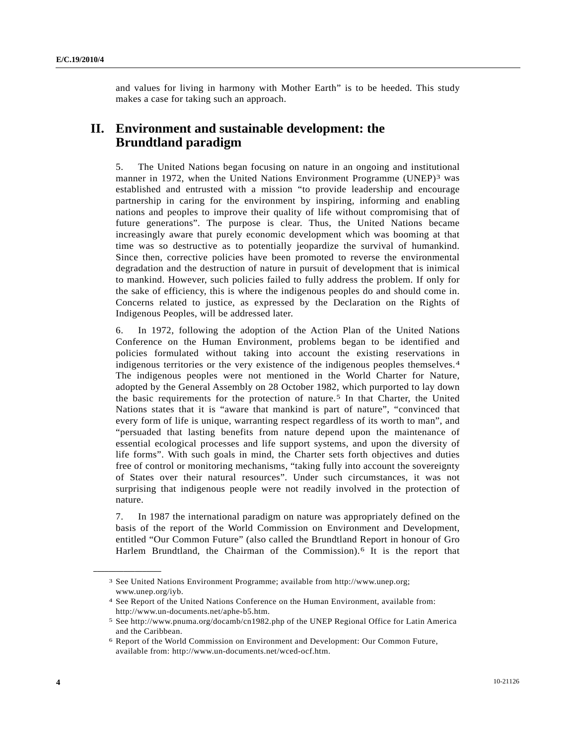and values for living in harmony with Mother Earth" is to be heeded. This study makes a case for taking such an approach.

# **II. Environment and sustainable development: the Brundtland paradigm**

5. The United Nations began focusing on nature in an ongoing and institutional manner in 1972, when the United Nations Environment Programme (UNEP)<sup>[3](#page-3-0)</sup> was established and entrusted with a mission "to provide leadership and encourage partnership in caring for the environment by inspiring, informing and enabling nations and peoples to improve their quality of life without compromising that of future generations". The purpose is clear. Thus, the United Nations became increasingly aware that purely economic development which was booming at that time was so destructive as to potentially jeopardize the survival of humankind. Since then, corrective policies have been promoted to reverse the environmental degradation and the destruction of nature in pursuit of development that is inimical to mankind. However, such policies failed to fully address the problem. If only for the sake of efficiency, this is where the indigenous peoples do and should come in. Concerns related to justice, as expressed by the Declaration on the Rights of Indigenous Peoples, will be addressed later.

6. In 1972, following the adoption of the Action Plan of the United Nations Conference on the Human Environment, problems began to be identified and policies formulated without taking into account the existing reservations in indigenous territories or the very existence of the indigenous peoples themselves.[4](#page-3-1) The indigenous peoples were not mentioned in the World Charter for Nature, adopted by the General Assembly on 28 October 1982, which purported to lay down the basic requirements for the protection of nature.<sup>5</sup> In that Charter, the United Nations states that it is "aware that mankind is part of nature", "convinced that every form of life is unique, warranting respect regardless of its worth to man", and "persuaded that lasting benefits from nature depend upon the maintenance of essential ecological processes and life support systems, and upon the diversity of life forms". With such goals in mind, the Charter sets forth objectives and duties free of control or monitoring mechanisms, "taking fully into account the sovereignty of States over their natural resources". Under such circumstances, it was not surprising that indigenous people were not readily involved in the protection of nature.

7. In 1987 the international paradigm on nature was appropriately defined on the basis of the report of the World Commission on Environment and Development, entitled "Our Common Future" (also called the Brundtland Report in honour of Gro Harlem Brundtland, the Chairman of the Commission).[6](#page-3-3) It is the report that

<span id="page-3-0"></span><sup>3</sup> See United Nations Environment Programme; available from http://www.unep.org; www.unep.org/iyb.

<span id="page-3-1"></span><sup>4</sup> See Report of the United Nations Conference on the Human Environment, available from: http://www.un-documents.net/aphe-b5.htm.

<span id="page-3-2"></span><sup>5</sup> See http://www.pnuma.org/docamb/cn1982.php of the UNEP Regional Office for Latin America and the Caribbean.

<span id="page-3-3"></span><sup>6</sup> Report of the World Commission on Environment and Development: Our Common Future, available from: http://www.un-documents.net/wced-ocf.htm.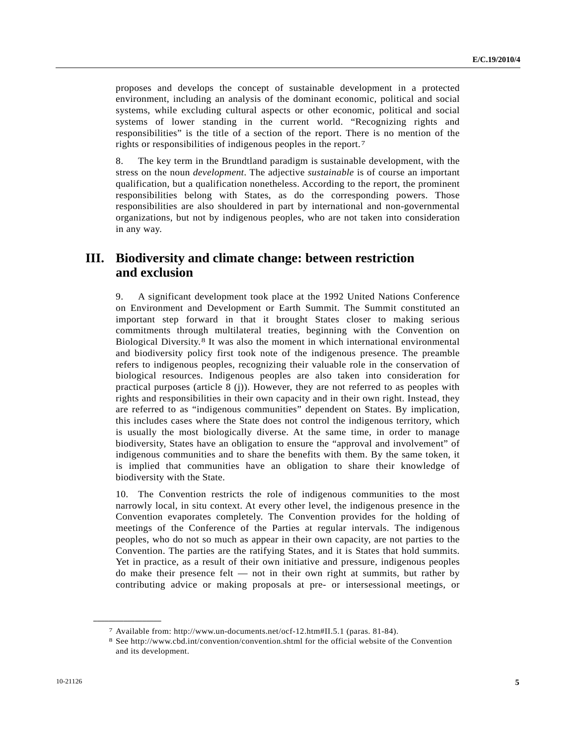proposes and develops the concept of sustainable development in a protected environment, including an analysis of the dominant economic, political and social systems, while excluding cultural aspects or other economic, political and social systems of lower standing in the current world. "Recognizing rights and responsibilities" is the title of a section of the report. There is no mention of the rights or responsibilities of indigenous peoples in the report.[7](#page-4-0)

8. The key term in the Brundtland paradigm is sustainable development, with the stress on the noun *development*. The adjective *sustainable* is of course an important qualification, but a qualification nonetheless. According to the report, the prominent responsibilities belong with States, as do the corresponding powers. Those responsibilities are also shouldered in part by international and non-governmental organizations, but not by indigenous peoples, who are not taken into consideration in any way.

## **III. Biodiversity and climate change: between restriction and exclusion**

9. A significant development took place at the 1992 United Nations Conference on Environment and Development or Earth Summit. The Summit constituted an important step forward in that it brought States closer to making serious commitments through multilateral treaties, beginning with the Convention on Biological Diversity.[8](#page-4-1) It was also the moment in which international environmental and biodiversity policy first took note of the indigenous presence. The preamble refers to indigenous peoples, recognizing their valuable role in the conservation of biological resources. Indigenous peoples are also taken into consideration for practical purposes (article 8 (j)). However, they are not referred to as peoples with rights and responsibilities in their own capacity and in their own right. Instead, they are referred to as "indigenous communities" dependent on States. By implication, this includes cases where the State does not control the indigenous territory, which is usually the most biologically diverse. At the same time, in order to manage biodiversity, States have an obligation to ensure the "approval and involvement" of indigenous communities and to share the benefits with them. By the same token, it is implied that communities have an obligation to share their knowledge of biodiversity with the State.

10. The Convention restricts the role of indigenous communities to the most narrowly local, in situ context. At every other level, the indigenous presence in the Convention evaporates completely. The Convention provides for the holding of meetings of the Conference of the Parties at regular intervals. The indigenous peoples, who do not so much as appear in their own capacity, are not parties to the Convention. The parties are the ratifying States, and it is States that hold summits. Yet in practice, as a result of their own initiative and pressure, indigenous peoples do make their presence felt — not in their own right at summits, but rather by contributing advice or making proposals at pre- or intersessional meetings, or

<span id="page-4-1"></span><span id="page-4-0"></span>

<sup>7</sup> Available from: http://www.un-documents.net/ocf-12.htm#II.5.1 (paras. 81-84). 8 See http://www.cbd.int/convention/convention.shtml for the official website of the Convention and its development.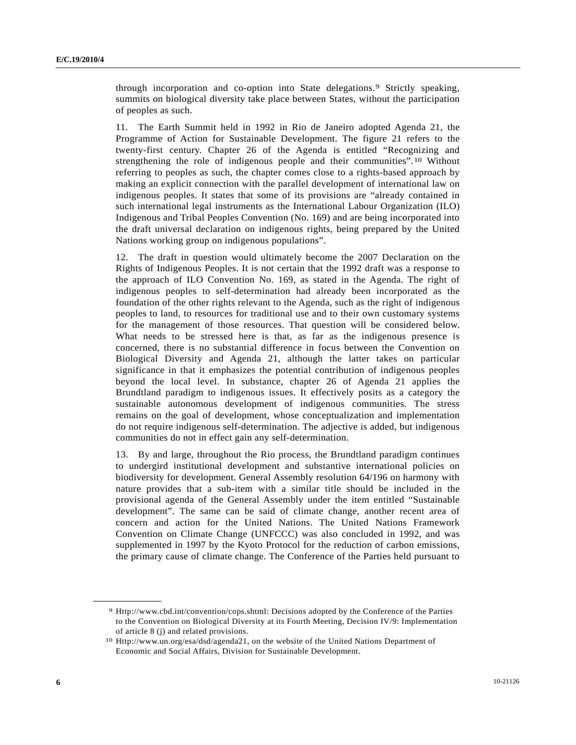through incorporation and co-option into State delegations.<sup>9</sup> Strictly speaking, summits on biological diversity take place between States, without the participation of peoples as such.

11. The Earth Summit held in 1992 in Rio de Janeiro adopted Agenda 21, the Programme of Action for Sustainable Development. The figure 21 refers to the twenty-first century. Chapter 26 of the Agenda is entitled "Recognizing and strengthening the role of indigenous people and their communities".[1](#page-5-1)0 Without referring to peoples as such, the chapter comes close to a rights-based approach by making an explicit connection with the parallel development of international law on indigenous peoples. It states that some of its provisions are "already contained in such international legal instruments as the International Labour Organization (ILO) Indigenous and Tribal Peoples Convention (No. 169) and are being incorporated into the draft universal declaration on indigenous rights, being prepared by the United Nations working group on indigenous populations".

12. The draft in question would ultimately become the 2007 Declaration on the Rights of Indigenous Peoples. It is not certain that the 1992 draft was a response to the approach of ILO Convention No. 169, as stated in the Agenda. The right of indigenous peoples to self-determination had already been incorporated as the foundation of the other rights relevant to the Agenda, such as the right of indigenous peoples to land, to resources for traditional use and to their own customary systems for the management of those resources. That question will be considered below. What needs to be stressed here is that, as far as the indigenous presence is concerned, there is no substantial difference in focus between the Convention on Biological Diversity and Agenda 21, although the latter takes on particular significance in that it emphasizes the potential contribution of indigenous peoples beyond the local level. In substance, chapter 26 of Agenda 21 applies the Brundtland paradigm to indigenous issues. It effectively posits as a category the sustainable autonomous development of indigenous communities. The stress remains on the goal of development, whose conceptualization and implementation do not require indigenous self-determination. The adjective is added, but indigenous communities do not in effect gain any self-determination.

13. By and large, throughout the Rio process, the Brundtland paradigm continues to undergird institutional development and substantive international policies on biodiversity for development. General Assembly resolution 64/196 on harmony with nature provides that a sub-item with a similar title should be included in the provisional agenda of the General Assembly under the item entitled "Sustainable development". The same can be said of climate change, another recent area of concern and action for the United Nations. The United Nations Framework Convention on Climate Change (UNFCCC) was also concluded in 1992, and was supplemented in 1997 by the Kyoto Protocol for the reduction of carbon emissions, the primary cause of climate change. The Conference of the Parties held pursuant to

<span id="page-5-0"></span><sup>9</sup> Http://www.cbd.int/convention/cops.shtml: Decisions adopted by the Conference of the Parties to the Convention on Biological Diversity at its Fourth Meeting, Decision IV/9: Implementation of article 8 (j) and related provisions.

<span id="page-5-1"></span><sup>10</sup> Http://www.un.org/esa/dsd/agenda21, on the website of the United Nations Department of Economic and Social Affairs, Division for Sustainable Development.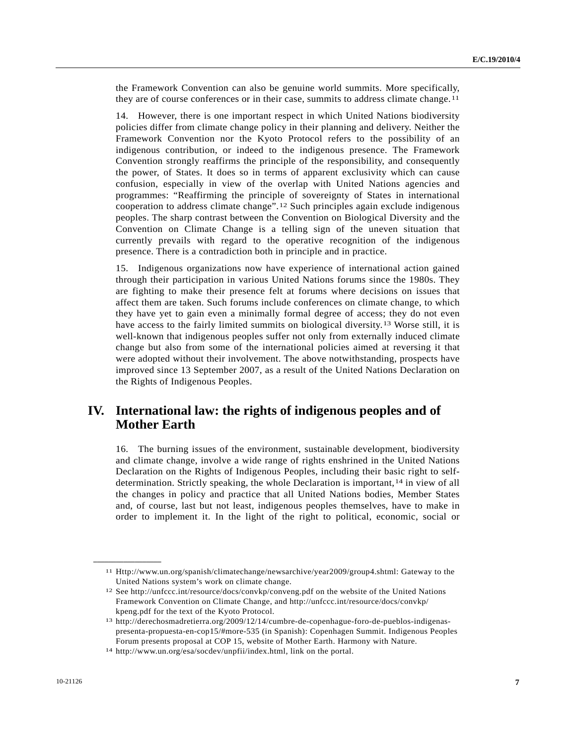the Framework Convention can also be genuine world summits. More specifically, they are of course conferences or in their case, summits to address climate change.[1](#page-6-0)1

14. However, there is one important respect in which United Nations biodiversity policies differ from climate change policy in their planning and delivery. Neither the Framework Convention nor the Kyoto Protocol refers to the possibility of an indigenous contribution, or indeed to the indigenous presence. The Framework Convention strongly reaffirms the principle of the responsibility, and consequently the power, of States. It does so in terms of apparent exclusivity which can cause confusion, especially in view of the overlap with United Nations agencies and programmes: "Reaffirming the principle of sovereignty of States in international cooperation to address climate change".[1](#page-6-1)2 Such principles again exclude indigenous peoples. The sharp contrast between the Convention on Biological Diversity and the Convention on Climate Change is a telling sign of the uneven situation that currently prevails with regard to the operative recognition of the indigenous presence. There is a contradiction both in principle and in practice.

15. Indigenous organizations now have experience of international action gained through their participation in various United Nations forums since the 1980s. They are fighting to make their presence felt at forums where decisions on issues that affect them are taken. Such forums include conferences on climate change, to which they have yet to gain even a minimally formal degree of access; they do not even have access to the fairly limited summits on biological diversity.<sup>[13](#page-6-2)</sup> Worse still, it is well-known that indigenous peoples suffer not only from externally induced climate change but also from some of the international policies aimed at reversing it that were adopted without their involvement. The above notwithstanding, prospects have improved since 13 September 2007, as a result of the United Nations Declaration on the Rights of Indigenous Peoples.

## **IV. International law: the rights of indigenous peoples and of Mother Earth**

16. The burning issues of the environment, sustainable development, biodiversity and climate change, involve a wide range of rights enshrined in the United Nations Declaration on the Rights of Indigenous Peoples, including their basic right to selfdetermination. Strictly speaking, the whole Declaration is important,  $14$  $14$  in view of all the changes in policy and practice that all United Nations bodies, Member States and, of course, last but not least, indigenous peoples themselves, have to make in order to implement it. In the light of the right to political, economic, social or

<span id="page-6-0"></span><sup>11</sup> Http://www.un.org/spanish/climatechange/newsarchive/year2009/group4.shtml: Gateway to the United Nations system's work on climate change.

<span id="page-6-1"></span><sup>12</sup> See http://unfccc.int/resource/docs/convkp/conveng.pdf on the website of the United Nations Framework Convention on Climate Change, and http://unfccc.int/resource/docs/convkp/ kpeng.pdf for the text of the Kyoto Protocol.

<span id="page-6-2"></span><sup>13</sup> http://derechosmadretierra.org/2009/12/14/cumbre-de-copenhague-foro-de-pueblos-indigenaspresenta-propuesta-en-cop15/#more-535 (in Spanish): Copenhagen Summit. Indigenous Peoples Forum presents proposal at COP 15, website of Mother Earth. Harmony with Nature.

<span id="page-6-3"></span><sup>14</sup> http://www.un.org/esa/socdev/unpfii/index.html, link on the portal.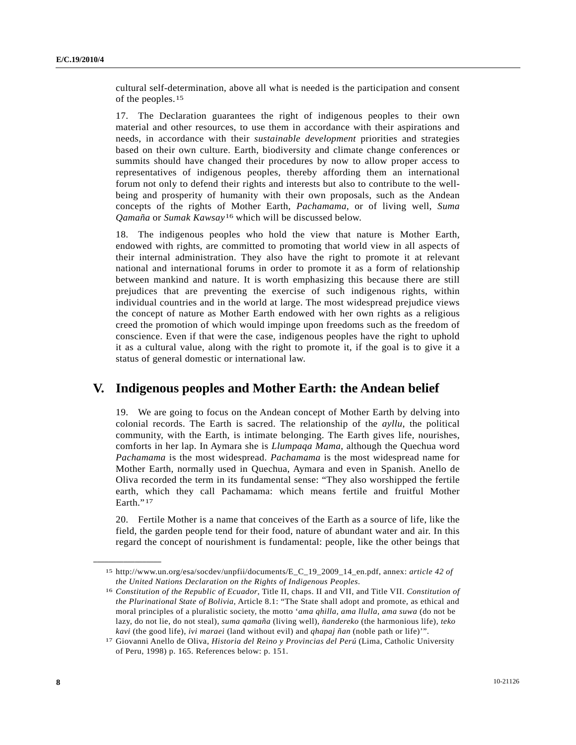cultural self-determination, above all what is needed is the participation and consent of the peoples.[1](#page-7-0)5

17. The Declaration guarantees the right of indigenous peoples to their own material and other resources, to use them in accordance with their aspirations and needs, in accordance with their *sustainable development* priorities and strategies based on their own culture. Earth, biodiversity and climate change conferences or summits should have changed their procedures by now to allow proper access to representatives of indigenous peoples, thereby affording them an international forum not only to defend their rights and interests but also to contribute to the wellbeing and prosperity of humanity with their own proposals, such as the Andean concepts of the rights of Mother Earth, *Pachamama*, or of living well, *Suma Qamaña* or *Sumak Kawsay*[16](#page-7-1) which will be discussed below.

18. The indigenous peoples who hold the view that nature is Mother Earth, endowed with rights, are committed to promoting that world view in all aspects of their internal administration. They also have the right to promote it at relevant national and international forums in order to promote it as a form of relationship between mankind and nature. It is worth emphasizing this because there are still prejudices that are preventing the exercise of such indigenous rights, within individual countries and in the world at large. The most widespread prejudice views the concept of nature as Mother Earth endowed with her own rights as a religious creed the promotion of which would impinge upon freedoms such as the freedom of conscience. Even if that were the case, indigenous peoples have the right to uphold it as a cultural value, along with the right to promote it, if the goal is to give it a status of general domestic or international law.

### **V. Indigenous peoples and Mother Earth: the Andean belief**

19. We are going to focus on the Andean concept of Mother Earth by delving into colonial records. The Earth is sacred. The relationship of the *ayllu*, the political community, with the Earth, is intimate belonging. The Earth gives life, nourishes, comforts in her lap. In Aymara she is *Llumpaqa Mama*, although the Quechua word *Pachamama* is the most widespread. *Pachamama* is the most widespread name for Mother Earth, normally used in Quechua, Aymara and even in Spanish. Anello de Oliva recorded the term in its fundamental sense: "They also worshipped the fertile earth, which they call Pachamama: which means fertile and fruitful Mother Earth."<sup>[17](#page-7-2)</sup>

20. Fertile Mother is a name that conceives of the Earth as a source of life, like the field, the garden people tend for their food, nature of abundant water and air. In this regard the concept of nourishment is fundamental: people, like the other beings that

<span id="page-7-0"></span><sup>15</sup> http://www.un.org/esa/socdev/unpfii/documents/E\_C\_19\_2009\_14\_en.pdf, annex: *article 42 of the United Nations Declaration on the Rights of Indigenous Peoples*. 16 *Constitution of the Republic of Ecuador*, Title II, chaps. II and VII, and Title VII. *Constitution of* 

<span id="page-7-1"></span>*the Plurinational State of Bolivia*, Article 8.1: "The State shall adopt and promote, as ethical and moral principles of a pluralistic society, the motto '*ama qhilla, ama llulla, ama suwa* (do not be lazy, do not lie, do not steal), *suma qamaña* (living well), *ñandereko* (the harmonious life), *teko kavi* (the good life), *ivi maraei* (land without evil) and *qhapaj ñan* (noble path or life)'". 17 Giovanni Anello de Oliva, *Historia del Reino y Provincias del Perú* (Lima, Catholic University

<span id="page-7-2"></span>of Peru, 1998) p. 165. References below: p. 151.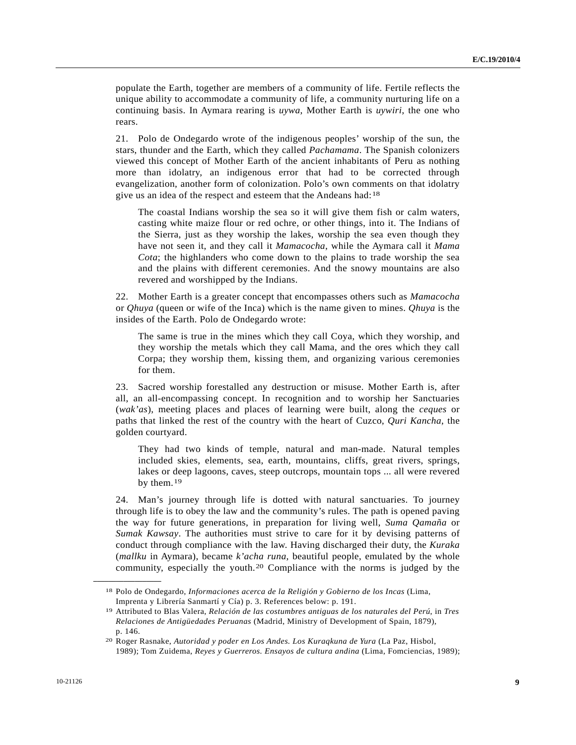populate the Earth, together are members of a community of life. Fertile reflects the unique ability to accommodate a community of life, a community nurturing life on a continuing basis. In Aymara rearing is *uywa*, Mother Earth is *uywiri*, the one who rears.

21. Polo de Ondegardo wrote of the indigenous peoples' worship of the sun, the stars, thunder and the Earth, which they called *Pachamama*. The Spanish colonizers viewed this concept of Mother Earth of the ancient inhabitants of Peru as nothing more than idolatry, an indigenous error that had to be corrected through evangelization, another form of colonization. Polo's own comments on that idolatry give us an idea of the respect and esteem that the Andeans had:[18](#page-8-0)

 The coastal Indians worship the sea so it will give them fish or calm waters, casting white maize flour or red ochre, or other things, into it. The Indians of the Sierra, just as they worship the lakes, worship the sea even though they have not seen it, and they call it *Mamacocha*, while the Aymara call it *Mama Cota*; the highlanders who come down to the plains to trade worship the sea and the plains with different ceremonies. And the snowy mountains are also revered and worshipped by the Indians.

22. Mother Earth is a greater concept that encompasses others such as *Mamacocha* or *Qhuya* (queen or wife of the Inca) which is the name given to mines. *Qhuya* is the insides of the Earth. Polo de Ondegardo wrote:

 The same is true in the mines which they call Coya, which they worship, and they worship the metals which they call Mama, and the ores which they call Corpa; they worship them, kissing them, and organizing various ceremonies for them.

23. Sacred worship forestalled any destruction or misuse. Mother Earth is, after all, an all-encompassing concept. In recognition and to worship her Sanctuaries (*wak'as*), meeting places and places of learning were built, along the *ceques* or paths that linked the rest of the country with the heart of Cuzco, *Quri Kancha*, the golden courtyard.

 They had two kinds of temple, natural and man-made. Natural temples included skies, elements, sea, earth, mountains, cliffs, great rivers, springs, lakes or deep lagoons, caves, steep outcrops, mountain tops ... all were revered by them.[1](#page-8-1)9

24. Man's journey through life is dotted with natural sanctuaries. To journey through life is to obey the law and the community's rules. The path is opened paving the way for future generations, in preparation for living well, *Suma Qamaña* or *Sumak Kawsay*. The authorities must strive to care for it by devising patterns of conduct through compliance with the law. Having discharged their duty, the *Kuraka*  (*mallku* in Aymara), became *k'acha runa*, beautiful people, emulated by the whole community, especially the youth.[2](#page-8-2)0 Compliance with the norms is judged by the

<span id="page-8-0"></span><sup>18</sup> Polo de Ondegardo, *Informaciones acerca de la Religión y Gobierno de los Incas* (Lima, Imprenta y Librería Sanmartí y Cía) p. 3. References below: p. 191.

<span id="page-8-1"></span><sup>19</sup> Attributed to Blas Valera, *Relación de las costumbres antiguas de los naturales del Perú*, in *Tres Relaciones de Antigüedades Peruanas* (Madrid, Ministry of Development of Spain, 1879), p. 146.

<span id="page-8-2"></span><sup>20</sup> Roger Rasnake, *Autoridad y poder en Los Andes. Los Kuraqkuna de Yura* (La Paz, Hisbol, 1989); Tom Zuidema, *Reyes y Guerreros. Ensayos de cultura andina* (Lima, Fomciencias, 1989);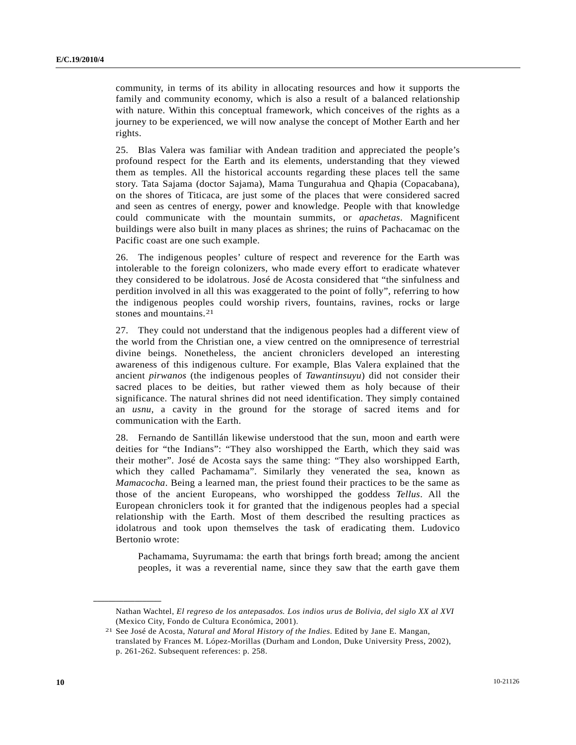community, in terms of its ability in allocating resources and how it supports the family and community economy, which is also a result of a balanced relationship with nature. Within this conceptual framework, which conceives of the rights as a journey to be experienced, we will now analyse the concept of Mother Earth and her rights.

25. Blas Valera was familiar with Andean tradition and appreciated the people's profound respect for the Earth and its elements, understanding that they viewed them as temples. All the historical accounts regarding these places tell the same story. Tata Sajama (doctor Sajama), Mama Tungurahua and Qhapia (Copacabana), on the shores of Titicaca, are just some of the places that were considered sacred and seen as centres of energy, power and knowledge. People with that knowledge could communicate with the mountain summits, or *apachetas*. Magnificent buildings were also built in many places as shrines; the ruins of Pachacamac on the Pacific coast are one such example.

26. The indigenous peoples' culture of respect and reverence for the Earth was intolerable to the foreign colonizers, who made every effort to eradicate whatever they considered to be idolatrous. José de Acosta considered that "the sinfulness and perdition involved in all this was exaggerated to the point of folly", referring to how the indigenous peoples could worship rivers, fountains, ravines, rocks or large stones and mountains.[2](#page-9-0)1

27. They could not understand that the indigenous peoples had a different view of the world from the Christian one, a view centred on the omnipresence of terrestrial divine beings. Nonetheless, the ancient chroniclers developed an interesting awareness of this indigenous culture. For example, Blas Valera explained that the ancient *pirwanos* (the indigenous peoples of *Tawantinsuyu*) did not consider their sacred places to be deities, but rather viewed them as holy because of their significance. The natural shrines did not need identification. They simply contained an *usnu*, a cavity in the ground for the storage of sacred items and for communication with the Earth.

28. Fernando de Santillán likewise understood that the sun, moon and earth were deities for "the Indians": "They also worshipped the Earth, which they said was their mother". José de Acosta says the same thing: "They also worshipped Earth, which they called Pachamama". Similarly they venerated the sea, known as *Mamacocha*. Being a learned man, the priest found their practices to be the same as those of the ancient Europeans, who worshipped the goddess *Tellus*. All the European chroniclers took it for granted that the indigenous peoples had a special relationship with the Earth. Most of them described the resulting practices as idolatrous and took upon themselves the task of eradicating them. Ludovico Bertonio wrote:

 Pachamama, Suyrumama: the earth that brings forth bread; among the ancient peoples, it was a reverential name, since they saw that the earth gave them

Nathan Wachtel, *El regreso de los antepasados. Los indios urus de Bolivia, del siglo XX al XVI* (Mexico City, Fondo de Cultura Económica, 2001).

<span id="page-9-0"></span><sup>21</sup> See José de Acosta, *Natural and Moral History of the Indies*. Edited by Jane E. Mangan, translated by Frances M. López-Morillas (Durham and London, Duke University Press, 2002), p. 261-262. Subsequent references: p. 258.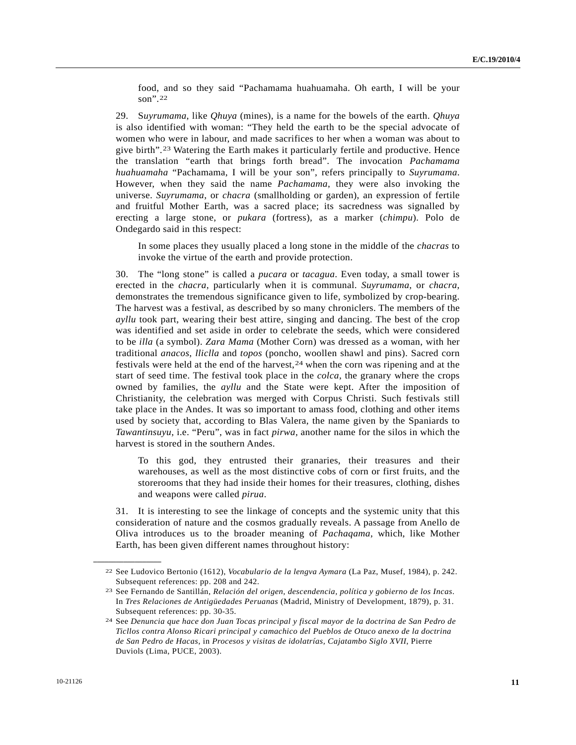food, and so they said "Pachamama huahuamaha. Oh earth, I will be your son".[22](#page-10-0)

29. S*uyrumama*, like *Qhuya* (mines), is a name for the bowels of the earth. *Qhuya* is also identified with woman: "They held the earth to be the special advocate of women who were in labour, and made sacrifices to her when a woman was about to give birth".[2](#page-10-1)3 Watering the Earth makes it particularly fertile and productive. Hence the translation "earth that brings forth bread". The invocation *Pachamama huahuamaha* "Pachamama, I will be your son", refers principally to *Suyrumama*. However, when they said the name *Pachamama*, they were also invoking the universe. *Suyrumama*, or *chacra* (smallholding or garden), an expression of fertile and fruitful Mother Earth, was a sacred place; its sacredness was signalled by erecting a large stone, or *pukara* (fortress), as a marker (*chimpu*). Polo de Ondegardo said in this respect:

 In some places they usually placed a long stone in the middle of the *chacras* to invoke the virtue of the earth and provide protection.

30. The "long stone" is called a *pucara* or *tacagua*. Even today, a small tower is erected in the *chacra*, particularly when it is communal. *Suyrumama*, or *chacra*, demonstrates the tremendous significance given to life, symbolized by crop-bearing. The harvest was a festival, as described by so many chroniclers. The members of the *ayllu* took part, wearing their best attire, singing and dancing. The best of the crop was identified and set aside in order to celebrate the seeds, which were considered to be *illa* (a symbol). *Zara Mama* (Mother Corn) was dressed as a woman, with her traditional *anacos*, *lliclla* and *topos* (poncho, woollen shawl and pins). Sacred corn festivals were held at the end of the harvest,[24](#page-10-2) when the corn was ripening and at the start of seed time. The festival took place in the *colca*, the granary where the crops owned by families, the *ayllu* and the State were kept. After the imposition of Christianity, the celebration was merged with Corpus Christi. Such festivals still take place in the Andes. It was so important to amass food, clothing and other items used by society that, according to Blas Valera, the name given by the Spaniards to *Tawantinsuyu*, i.e. "Peru", was in fact *pirwa*, another name for the silos in which the harvest is stored in the southern Andes.

 To this god, they entrusted their granaries, their treasures and their warehouses, as well as the most distinctive cobs of corn or first fruits, and the storerooms that they had inside their homes for their treasures, clothing, dishes and weapons were called *pirua*.

31. It is interesting to see the linkage of concepts and the systemic unity that this consideration of nature and the cosmos gradually reveals. A passage from Anello de Oliva introduces us to the broader meaning of *Pachaqama*, which, like Mother Earth, has been given different names throughout history:

<span id="page-10-0"></span><sup>22</sup> See Ludovico Bertonio (1612), *Vocabulario de la lengva Aymara* (La Paz, Musef, 1984), p. 242. Subsequent references: pp. 208 and 242.

<span id="page-10-1"></span><sup>23</sup> See Fernando de Santillán, *Relación del origen, descendencia, política y gobierno de los Incas*. In *Tres Relaciones de Antigüedades Peruanas* (Madrid, Ministry of Development, 1879), p. 31. Subsequent references: pp. 30-35.

<span id="page-10-2"></span><sup>24</sup> See *Denuncia que hace don Juan Tocas principal y fiscal mayor de la doctrina de San Pedro de Ticllos contra Alonso Ricari principal y camachico del Pueblos de Otuco anexo de la doctrina de San Pedro de Hacas*, in *Procesos y visitas de idolatrías, Cajatambo Siglo XVII*, Pierre Duviols (Lima, PUCE, 2003).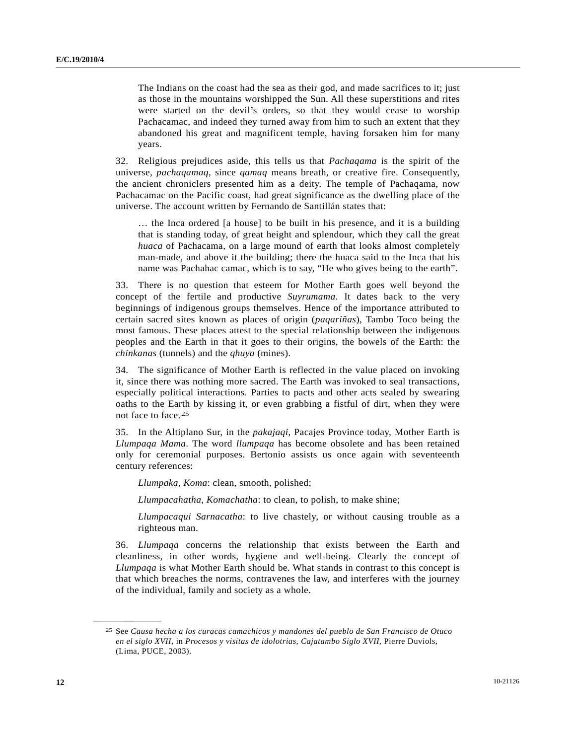The Indians on the coast had the sea as their god, and made sacrifices to it; just as those in the mountains worshipped the Sun. All these superstitions and rites were started on the devil's orders, so that they would cease to worship Pachacamac, and indeed they turned away from him to such an extent that they abandoned his great and magnificent temple, having forsaken him for many years.

32. Religious prejudices aside, this tells us that *Pachaqama* is the spirit of the universe, *pachaqamaq*, since *qamaq* means breath, or creative fire. Consequently, the ancient chroniclers presented him as a deity. The temple of Pachaqama, now Pachacamac on the Pacific coast, had great significance as the dwelling place of the universe. The account written by Fernando de Santillán states that:

 … the Inca ordered [a house] to be built in his presence, and it is a building that is standing today, of great height and splendour, which they call the great *huaca* of Pachacama, on a large mound of earth that looks almost completely man-made, and above it the building; there the huaca said to the Inca that his name was Pachahac camac, which is to say, "He who gives being to the earth".

33. There is no question that esteem for Mother Earth goes well beyond the concept of the fertile and productive *Suyrumama*. It dates back to the very beginnings of indigenous groups themselves. Hence of the importance attributed to certain sacred sites known as places of origin (*paqariñas*), Tambo Toco being the most famous. These places attest to the special relationship between the indigenous peoples and the Earth in that it goes to their origins, the bowels of the Earth: the *chinkanas* (tunnels) and the *qhuya* (mines).

34. The significance of Mother Earth is reflected in the value placed on invoking it, since there was nothing more sacred. The Earth was invoked to seal transactions, especially political interactions. Parties to pacts and other acts sealed by swearing oaths to the Earth by kissing it, or even grabbing a fistful of dirt, when they were not face to face.[25](#page-11-0)

35. In the Altiplano Sur, in the *pakajaqi*, Pacajes Province today, Mother Earth is *Llumpaqa Mama*. The word *llumpaqa* has become obsolete and has been retained only for ceremonial purposes. Bertonio assists us once again with seventeenth century references:

*Llumpaka, Koma*: clean, smooth, polished;

*Llumpacahatha*, *Komachatha*: to clean, to polish, to make shine;

*Llumpacaqui Sarnacatha*: to live chastely, or without causing trouble as a righteous man.

36. *Llumpaqa* concerns the relationship that exists between the Earth and cleanliness, in other words, hygiene and well-being. Clearly the concept of *Llumpaqa* is what Mother Earth should be. What stands in contrast to this concept is that which breaches the norms, contravenes the law, and interferes with the journey of the individual, family and society as a whole.

<span id="page-11-0"></span><sup>25</sup> See *Causa hecha a los curacas camachicos y mandones del pueblo de San Francisco de Otuco en el siglo XVII,* in *Procesos y visitas de idolotrias, Cajatambo Siglo XVII*, Pierre Duviols, (Lima, PUCE, 2003).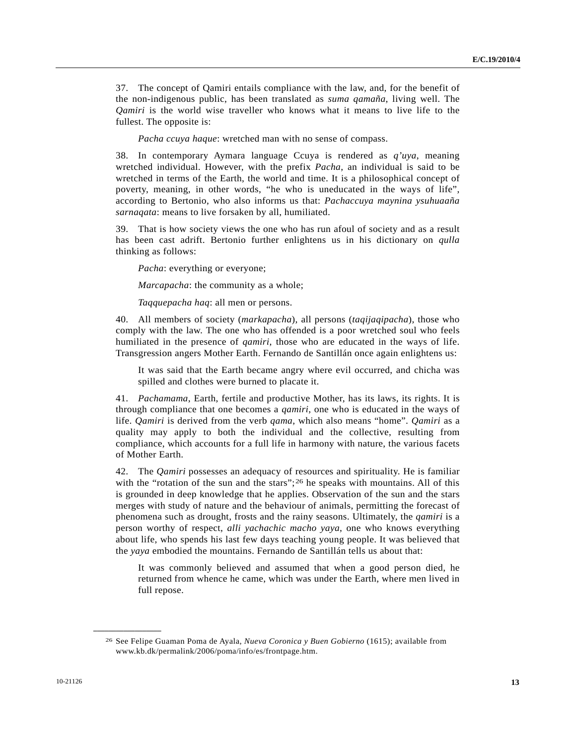37. The concept of Qamiri entails compliance with the law, and, for the benefit of the non-indigenous public, has been translated as *suma qamaña*, living well. The *Qamiri* is the world wise traveller who knows what it means to live life to the fullest. The opposite is:

*Pacha ccuya haque*: wretched man with no sense of compass.

38. In contemporary Aymara language Ccuya is rendered as *q'uya*, meaning wretched individual. However, with the prefix *Pacha*, an individual is said to be wretched in terms of the Earth, the world and time. It is a philosophical concept of poverty, meaning, in other words, "he who is uneducated in the ways of life", according to Bertonio, who also informs us that: *Pachaccuya maynina ysuhuaaña sarnaqata*: means to live forsaken by all, humiliated.

39. That is how society views the one who has run afoul of society and as a result has been cast adrift. Bertonio further enlightens us in his dictionary on *qulla* thinking as follows:

*Pacha*: everything or everyone;

*Marcapacha*: the community as a whole;

*Taqquepacha haq*: all men or persons.

40. All members of society (*markapacha*), all persons (*taqijaqipacha*), those who comply with the law. The one who has offended is a poor wretched soul who feels humiliated in the presence of *qamiri*, those who are educated in the ways of life. Transgression angers Mother Earth. Fernando de Santillán once again enlightens us:

 It was said that the Earth became angry where evil occurred, and chicha was spilled and clothes were burned to placate it.

41. *Pachamama*, Earth, fertile and productive Mother, has its laws, its rights. It is through compliance that one becomes a *qamiri*, one who is educated in the ways of life. *Qamiri* is derived from the verb *qama*, which also means "home". *Qamiri* as a quality may apply to both the individual and the collective, resulting from compliance, which accounts for a full life in harmony with nature, the various facets of Mother Earth.

42. The *Qamiri* possesses an adequacy of resources and spirituality. He is familiar with the "rotation of the sun and the stars";  $2<sup>6</sup>$  $2<sup>6</sup>$  he speaks with mountains. All of this is grounded in deep knowledge that he applies. Observation of the sun and the stars merges with study of nature and the behaviour of animals, permitting the forecast of phenomena such as drought, frosts and the rainy seasons. Ultimately, the *qamiri* is a person worthy of respect, *alli yachachic macho yaya*, one who knows everything about life, who spends his last few days teaching young people. It was believed that the *yaya* embodied the mountains. Fernando de Santillán tells us about that:

 It was commonly believed and assumed that when a good person died, he returned from whence he came, which was under the Earth, where men lived in full repose.

<span id="page-12-0"></span><sup>26</sup> See Felipe Guaman Poma de Ayala, *Nueva Coronica y Buen Gobierno* (1615); available from www.kb.dk/permalink/2006/poma/info/es/frontpage.htm.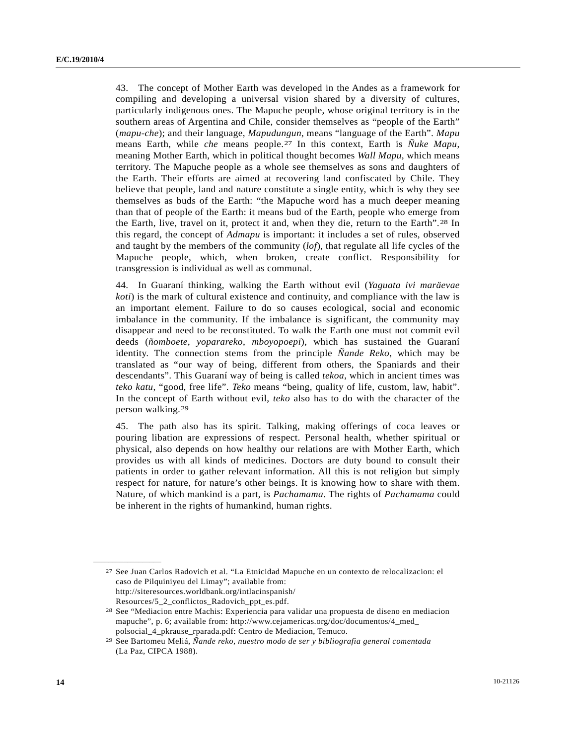43. The concept of Mother Earth was developed in the Andes as a framework for compiling and developing a universal vision shared by a diversity of cultures, particularly indigenous ones. The Mapuche people, whose original territory is in the southern areas of Argentina and Chile, consider themselves as "people of the Earth" (*mapu-che*); and their language, *Mapudungun*, means "language of the Earth". *Mapu* means Earth, while *che* means people.[2](#page-13-0)7 In this context, Earth is *Ñuke Mapu*, meaning Mother Earth, which in political thought becomes *Wall Mapu*, which means territory. The Mapuche people as a whole see themselves as sons and daughters of the Earth. Their efforts are aimed at recovering land confiscated by Chile. They believe that people, land and nature constitute a single entity, which is why they see themselves as buds of the Earth: "the Mapuche word has a much deeper meaning than that of people of the Earth: it means bud of the Earth, people who emerge from the Earth, live, travel on it, protect it and, when they die, return to the Earth".[2](#page-13-1)8 In this regard, the concept of *Admapu* is important: it includes a set of rules, observed and taught by the members of the community (*lof*), that regulate all life cycles of the Mapuche people, which, when broken, create conflict. Responsibility for transgression is individual as well as communal.

44. In Guaraní thinking, walking the Earth without evil (*Yaguata ivi maräevae koti*) is the mark of cultural existence and continuity, and compliance with the law is an important element. Failure to do so causes ecological, social and economic imbalance in the community. If the imbalance is significant, the community may disappear and need to be reconstituted. To walk the Earth one must not commit evil deeds (*ñomboete*, *yoparareko*, *mboyopoepi*), which has sustained the Guaraní identity. The connection stems from the principle *Ñande Reko*, which may be translated as "our way of being, different from others, the Spaniards and their descendants". This Guaraní way of being is called *tekoa*, which in ancient times was *teko katu*, "good, free life". *Teko* means "being, quality of life, custom, law, habit". In the concept of Earth without evil, *teko* also has to do with the character of the person walking.[2](#page-13-2)9

45. The path also has its spirit. Talking, making offerings of coca leaves or pouring libation are expressions of respect. Personal health, whether spiritual or physical, also depends on how healthy our relations are with Mother Earth, which provides us with all kinds of medicines. Doctors are duty bound to consult their patients in order to gather relevant information. All this is not religion but simply respect for nature, for nature's other beings. It is knowing how to share with them. Nature, of which mankind is a part, is *Pachamama*. The rights of *Pachamama* could be inherent in the rights of humankind, human rights.

<span id="page-13-0"></span><sup>27</sup> See Juan Carlos Radovich et al. "La Etnicidad Mapuche en un contexto de relocalizacion: el caso de Pilquiniyeu del Limay"; available from: http://siteresources.worldbank.org/intlacinspanish/ Resources/5\_2\_conflictos\_Radovich\_ppt\_es.pdf. 28 See "Mediacion entre Machis: Experiencia para validar una propuesta de diseno en mediacion

<span id="page-13-1"></span>mapuche", p. 6; available from: http://www.cejamericas.org/doc/documentos/4\_med\_ polsocial\_4\_pkrause\_rparada.pdf: Centro de Mediacion, Temuco.

<span id="page-13-2"></span><sup>29</sup> See Bartomeu Meliá, *Ñande reko, nuestro modo de ser y bibliografia general comentada* (La Paz, CIPCA 1988).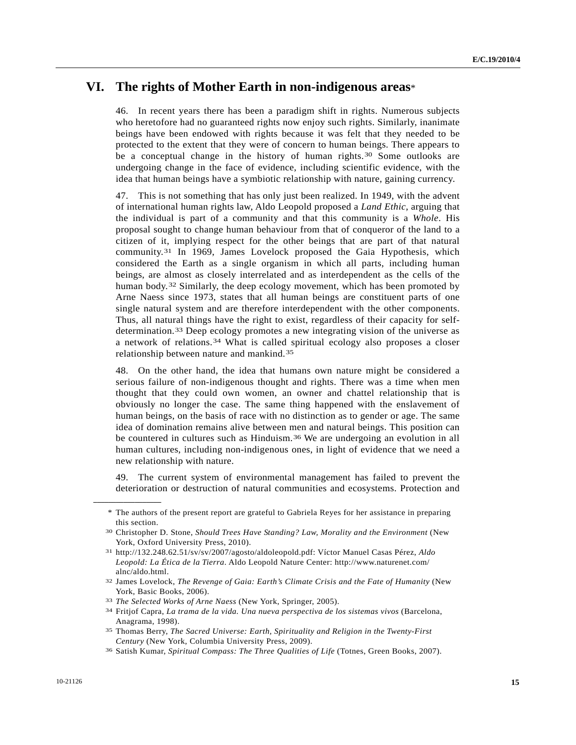## **VI. The rights of Mother Earth in non-indigenous areas**\*

46. In recent years there has been a paradigm shift in rights. Numerous subjects who heretofore had no guaranteed rights now enjoy such rights. Similarly, inanimate beings have been endowed with rights because it was felt that they needed to be protected to the extent that they were of concern to human beings. There appears to be a conceptual change in the history of human rights.[30](#page-14-0) Some outlooks are undergoing change in the face of evidence, including scientific evidence, with the idea that human beings have a symbiotic relationship with nature, gaining currency.

47. This is not something that has only just been realized. In 1949, with the advent of international human rights law, Aldo Leopold proposed a *Land Ethic*, arguing that the individual is part of a community and that this community is a *Whole*. His proposal sought to change human behaviour from that of conqueror of the land to a citizen of it, implying respect for the other beings that are part of that natural community.[31](#page-14-1) In 1969, James Lovelock proposed the Gaia Hypothesis, which considered the Earth as a single organism in which all parts, including human beings, are almost as closely interrelated and as interdependent as the cells of the human body.<sup>[3](#page-14-2)2</sup> Similarly, the deep ecology movement, which has been promoted by Arne Naess since 1973, states that all human beings are constituent parts of one single natural system and are therefore interdependent with the other components. Thus, all natural things have the right to exist, regardless of their capacity for selfdetermination.[3](#page-14-3)3 Deep ecology promotes a new integrating vision of the universe as a network of relations.[34](#page-14-4) What is called spiritual ecology also proposes a closer relationship between nature and mankind.[3](#page-14-5)5

48. On the other hand, the idea that humans own nature might be considered a serious failure of non-indigenous thought and rights. There was a time when men thought that they could own women, an owner and chattel relationship that is obviously no longer the case. The same thing happened with the enslavement of human beings, on the basis of race with no distinction as to gender or age. The same idea of domination remains alive between men and natural beings. This position can be countered in cultures such as Hinduism.<sup>[3](#page-14-6)6</sup> We are undergoing an evolution in all human cultures, including non-indigenous ones, in light of evidence that we need a new relationship with nature.

49. The current system of environmental management has failed to prevent the deterioration or destruction of natural communities and ecosystems. Protection and

<span id="page-14-0"></span> <sup>\*</sup> The authors of the present report are grateful to Gabriela Reyes for her assistance in preparing this section.

<sup>30</sup> Christopher D. Stone, *Should Trees Have Standing? Law, Morality and the Environment* (New York, Oxford University Press, 2010).

<span id="page-14-1"></span><sup>31</sup> http://132.248.62.51/sv/sv/2007/agosto/aldoleopold.pdf: Víctor Manuel Casas Pérez, *Aldo Leopold: La Ética de la Tierra*. Aldo Leopold Nature Center: http://www.naturenet.com/ alnc/aldo.html.

<span id="page-14-2"></span><sup>32</sup> James Lovelock, *The Revenge of Gaia: Earth's Climate Crisis and the Fate of Humanity* (New York, Basic Books, 2006).

<span id="page-14-4"></span><span id="page-14-3"></span><sup>33</sup>*The Selected Works of Arne Naess* (New York, Springer, 2005). 34 Fritjof Capra, *La trama de la vida. Una nueva perspectiva de los sistemas vivos* (Barcelona, Anagrama, 1998).

<span id="page-14-5"></span><sup>35</sup> Thomas Berry, *The Sacred Universe: Earth, Spirituality and Religion in the Twenty-First Century* (New York, Columbia University Press, 2009). 36 Satish Kumar, *Spiritual Compass: The Three Qualities of Life* (Totnes, Green Books, 2007).

<span id="page-14-6"></span>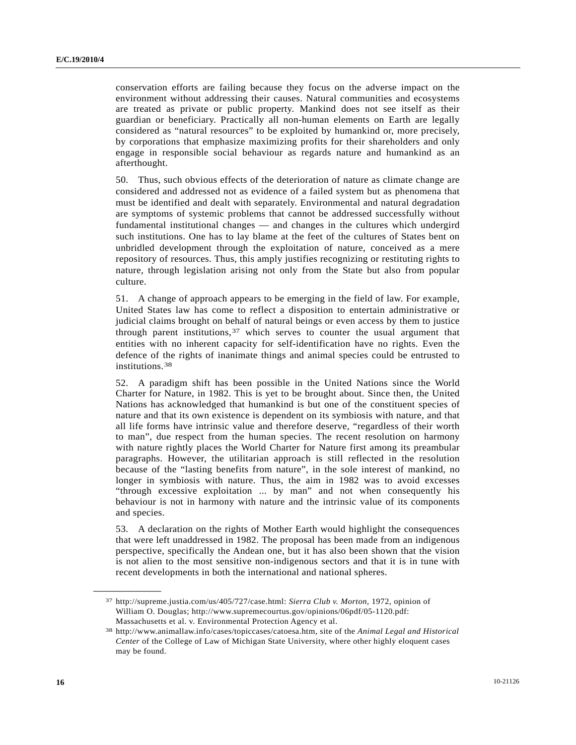conservation efforts are failing because they focus on the adverse impact on the environment without addressing their causes. Natural communities and ecosystems are treated as private or public property. Mankind does not see itself as their guardian or beneficiary. Practically all non-human elements on Earth are legally considered as "natural resources" to be exploited by humankind or, more precisely, by corporations that emphasize maximizing profits for their shareholders and only engage in responsible social behaviour as regards nature and humankind as an afterthought.

50. Thus, such obvious effects of the deterioration of nature as climate change are considered and addressed not as evidence of a failed system but as phenomena that must be identified and dealt with separately. Environmental and natural degradation are symptoms of systemic problems that cannot be addressed successfully without fundamental institutional changes — and changes in the cultures which undergird such institutions. One has to lay blame at the feet of the cultures of States bent on unbridled development through the exploitation of nature, conceived as a mere repository of resources. Thus, this amply justifies recognizing or restituting rights to nature, through legislation arising not only from the State but also from popular culture.

51. A change of approach appears to be emerging in the field of law. For example, United States law has come to reflect a disposition to entertain administrative or judicial claims brought on behalf of natural beings or even access by them to justice through parent institutions,  $37$  which serves to counter the usual argument that entities with no inherent capacity for self-identification have no rights. Even the defence of the rights of inanimate things and animal species could be entrusted to institutions.[38](#page-15-1)

52. A paradigm shift has been possible in the United Nations since the World Charter for Nature, in 1982. This is yet to be brought about. Since then, the United Nations has acknowledged that humankind is but one of the constituent species of nature and that its own existence is dependent on its symbiosis with nature, and that all life forms have intrinsic value and therefore deserve, "regardless of their worth to man", due respect from the human species. The recent resolution on harmony with nature rightly places the World Charter for Nature first among its preambular paragraphs. However, the utilitarian approach is still reflected in the resolution because of the "lasting benefits from nature", in the sole interest of mankind, no longer in symbiosis with nature. Thus, the aim in 1982 was to avoid excesses "through excessive exploitation ... by man" and not when consequently his behaviour is not in harmony with nature and the intrinsic value of its components and species.

53. A declaration on the rights of Mother Earth would highlight the consequences that were left unaddressed in 1982. The proposal has been made from an indigenous perspective, specifically the Andean one, but it has also been shown that the vision is not alien to the most sensitive non-indigenous sectors and that it is in tune with recent developments in both the international and national spheres.

<span id="page-15-0"></span><sup>37</sup> http://supreme.justia.com/us/405/727/case.html: *Sierra Club v. Morton*, 1972, opinion of William O. Douglas; http://www.supremecourtus.gov/opinions/06pdf/05-1120.pdf: Massachusetts et al. v. Environmental Protection Agency et al.

<span id="page-15-1"></span><sup>38</sup> http://www.animallaw.info/cases/topiccases/catoesa.htm, site of the *Animal Legal and Historical Center* of the College of Law of Michigan State University, where other highly eloquent cases may be found.